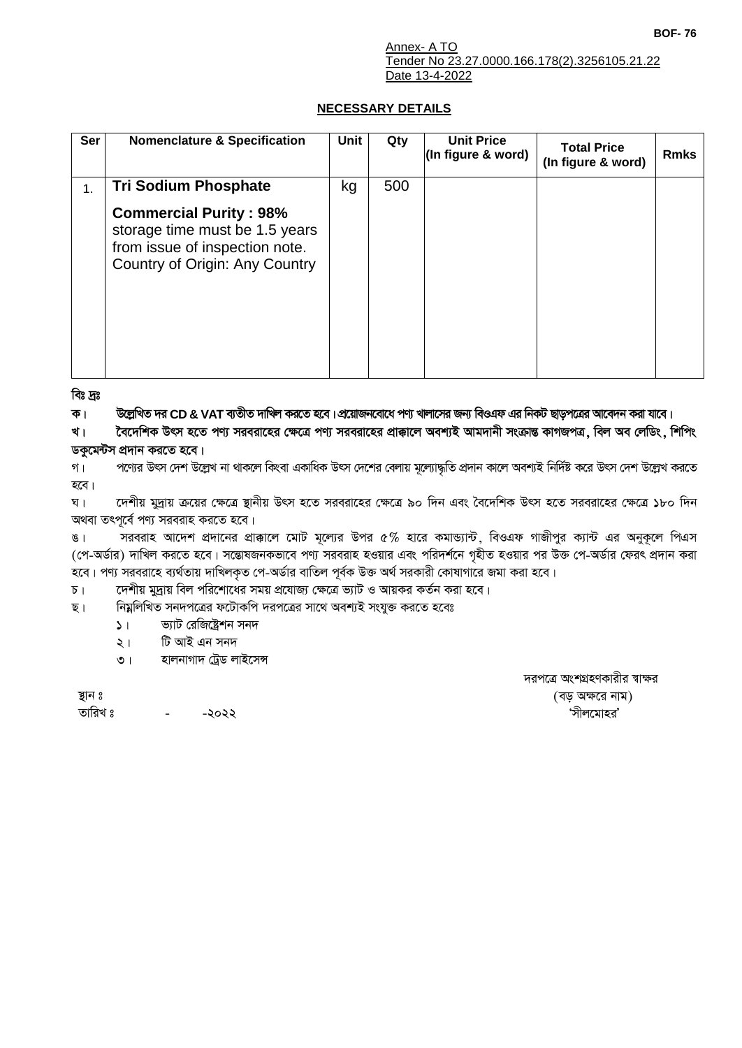## **NECESSARY DETAILS**

| <b>Ser</b> | <b>Nomenclature &amp; Specification</b>                                                                                             | Unit | Qty | <b>Unit Price</b><br>(In figure & word) | <b>Total Price</b><br>(In figure & word) | <b>Rmks</b> |
|------------|-------------------------------------------------------------------------------------------------------------------------------------|------|-----|-----------------------------------------|------------------------------------------|-------------|
| 1.         | <b>Tri Sodium Phosphate</b>                                                                                                         | kg   | 500 |                                         |                                          |             |
|            | <b>Commercial Purity: 98%</b><br>storage time must be 1.5 years<br>from issue of inspection note.<br>Country of Origin: Any Country |      |     |                                         |                                          |             |

বিঃ দ্রঃ

ক। উল্লেখিত দর CD & VAT ব্যতীত দাখিল করতে হবে। প্রয়োজনবোধে পণ্য খালাসের জন্য বিওএফ এর নিকট ছাড়পত্রের আবেদন করা যাবে।

বৈদেশিক উৎস হতে পণ্য সরবরাহের ক্ষেত্রে পণ্য সরবরাহের প্রাক্কালে অবশ্যই আমদানী সংক্রান্ত কাগজপত্র, বিল অব লেডিং, শিপিং খ। ডকুমেন্টস প্রদান করতে হবে।

পণ্যের উৎস দেশ উল্লেখ না থাকলে কিংবা একাধিক উৎস দেশের বেলায় মূল্যোদ্ধতি প্রদান কালে অবশ্যই নির্দিষ্ট করে উৎস দেশ উল্লেখ করতে গ। হবে।

দেশীয় মুদ্রায় ক্রয়ের ক্ষেত্রে স্থানীয় উৎস হতে সরবরাহের ক্ষেত্রে ৯০ দিন এবং বৈদেশিক উৎস হতে সরবরাহের ক্ষেত্রে ১৮০ দিন घ । অথবা তৎপূর্বে পণ্য সরবরাহ করতে হবে।

সরবরাহ আদেশ প্রদানের প্রাক্কালে মোট মূল্যের উপর ৫% হারে কমান্ড্যান্ট, বিওএফ গাজীপুর ক্যান্ট এর অনুকূলে পিএস  $\sqrt{3}$ (পে-অর্ডার) দাখিল করতে হবে। সন্তোষজনকভাবে পণ্য সরবরাহ হওয়ার এবং পরিদর্শনে গৃহীত হওয়ার পর উক্ত পে-অর্ডার ফেরৎ প্রদান করা হবে। পণ্য সরবরাহে ব্যর্থতায় দাখিলকৃত পে-অর্ডার বাতিল পূর্বক উক্ত অর্থ সরকারী কোষাগারে জমা করা হবে।

দেশীয় মুদ্রায় বিল পরিশোধের সময় প্রযোজ্য ক্ষেত্রে ভ্যাট ও আয়কর কর্তন করা হবে।  $\sqrt{2}$ 

নিম্নলিখিত সনদপত্রের ফটোকপি দরপত্রের সাথে অবশ্যই সংযুক্ত করতে হবেঃ ছ।

- $\mathsf{L}$ ভ্যাট রেজিষ্ট্রেশন সনদ
- টি আই এন সনদ  $\lambda$
- হালনাগাদ ট্ৰেড লাইসেন্স  $\circ$  |

দরপত্রে অংশগ্রহণকারীর স্বাক্ষর (বড় অক্ষরে নাম) 'সীলমোহর'

ষ্থান ঃ

তারিখ ঃ -২০২২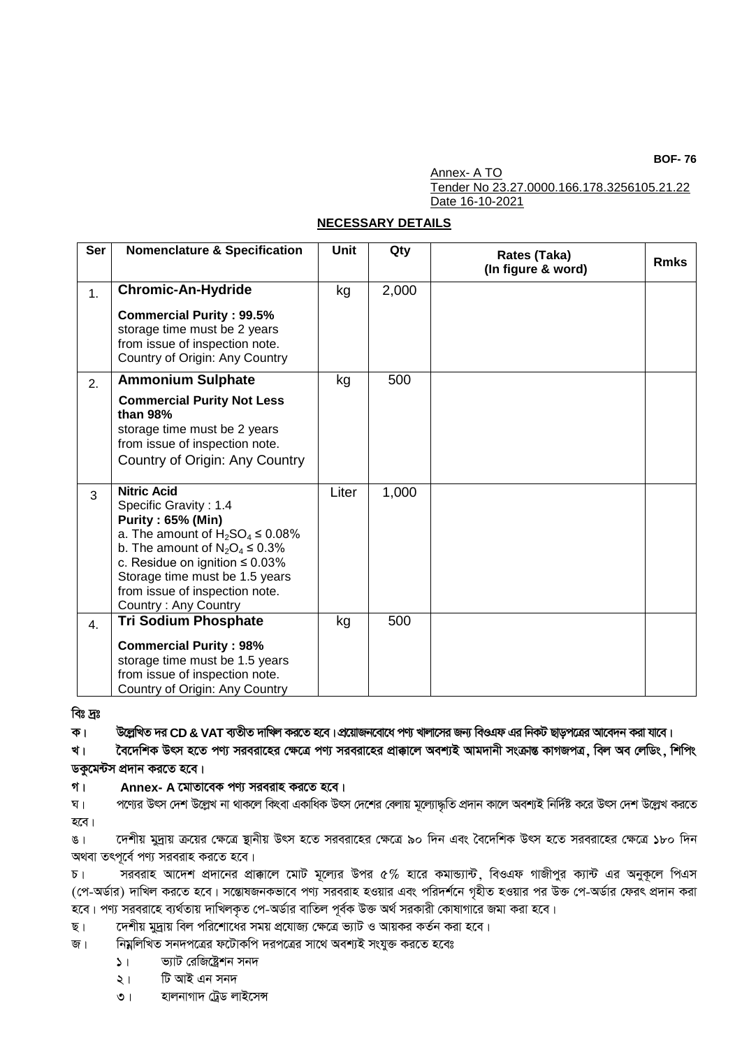**BOF-76** 

Annex- A TO Tender No 23.27.0000.166.178.3256105.21.22 Date 16-10-2021

## **NECESSARY DETAILS**

| Ser | <b>Nomenclature &amp; Specification</b>                                                                                                                                                                                                                                                       | Unit  | Qty   | Rates (Taka)<br>(In figure & word) | <b>Rmks</b> |
|-----|-----------------------------------------------------------------------------------------------------------------------------------------------------------------------------------------------------------------------------------------------------------------------------------------------|-------|-------|------------------------------------|-------------|
| 1.  | <b>Chromic-An-Hydride</b>                                                                                                                                                                                                                                                                     | kg    | 2,000 |                                    |             |
|     | <b>Commercial Purity: 99.5%</b><br>storage time must be 2 years<br>from issue of inspection note.<br>Country of Origin: Any Country                                                                                                                                                           |       |       |                                    |             |
| 2.  | <b>Ammonium Sulphate</b>                                                                                                                                                                                                                                                                      | kg    | 500   |                                    |             |
|     | <b>Commercial Purity Not Less</b><br>than 98%<br>storage time must be 2 years<br>from issue of inspection note.<br>Country of Origin: Any Country                                                                                                                                             |       |       |                                    |             |
| 3   | <b>Nitric Acid</b><br>Specific Gravity: 1.4<br><b>Purity: 65% (Min)</b><br>a. The amount of $H_2SO_4 \leq 0.08\%$<br>b. The amount of $N_2O_4 \leq 0.3\%$<br>c. Residue on ignition $\leq 0.03\%$<br>Storage time must be 1.5 years<br>from issue of inspection note.<br>Country: Any Country | Liter | 1,000 |                                    |             |
| 4.  | <b>Tri Sodium Phosphate</b>                                                                                                                                                                                                                                                                   | kg    | 500   |                                    |             |
|     | <b>Commercial Purity: 98%</b><br>storage time must be 1.5 years<br>from issue of inspection note.<br>Country of Origin: Any Country                                                                                                                                                           |       |       |                                    |             |

বিঃ দ্রঃ

ক। উল্লেখিত দর CD & VAT ব্যতীত দাখিল করতে হবে।প্রয়োজনবোধে পণ্য খালাসের জন্য বিওএফ এর নিকট ছাড়পত্রের আবেদন করা যাবে।

খ। বৈদেশিক উৎস হতে পণ্য সরবরাহের ক্ষেত্রে পণ্য সরবরাহের প্রাক্কালে অবশ্যই আমদানী সংক্রান্ত কাগজপত্র, বিল অব লেডিং, শিপিং ডকুমেন্টস প্রদান করতে হবে।

গ। Annex- A মোতাবেক পণ্য সরবরাহ করতে হবে।

পণ্যের উৎস দেশ উল্লেখ না থাকলে কিংবা একাধিক উৎস দেশের বেলায় মূল্যোদ্ধতি প্রদান কালে অবশ্যই নির্দিষ্ট করে উৎস দেশ উল্লেখ করতে ष । হবে।

দেশীয় মুদ্রায় ক্রয়ের ক্ষেত্রে স্থানীয় উৎস হতে সরবরাহের ক্ষেত্রে ৯০ দিন এবং বৈদেশিক উৎস হতে সরবরাহের ক্ষেত্রে ১৮০ দিন  $81$ অথবা তৎপূৰ্বে পণ্য সরবরাহ করতে হবে।

সরবরাহ আদেশ প্রদানের প্রাক্কালে মোট মূল্যের উপর ৫% হারে কমান্ড্যান্ট, বিওএফ গাজীপুর ক্যান্ট এর অনুকূলে পিএস  $\sqrt{2}$ (পে-অর্ডার) দাখিল করতে হবে। সন্তোষজনকভাবে পণ্য সরবরাহ হওয়ার এবং পরিদর্শনে গৃহীত হওয়ার পর উক্ত পে-অর্ডার ফেরৎ প্রদান করা হবে। পণ্য সরবরাহে ব্যর্থতায় দাখিলকৃত পে-অর্ডার বাতিল পূর্বক উক্ত অর্থ সরকারী কোষাগারে জমা করা হবে।

দেশীয় মুদ্রায় বিল পরিশোধের সময় প্রযোজ্য ক্ষেত্রে ভ্যাট ও আয়কর কর্তন করা হবে। ছ।

নিম্নলিখিত সনদপত্রের ফটোকপি দরপত্রের সাথে অবশ্যই সংযুক্ত করতে হবেঃ জ।

- ভ্যাট রেজিষ্ট্রেশন সনদ  $\mathcal{L}$
- টি আই এন সনদ  $\lambda$  |
- হালনাগাদ ট্ৰেড লাইসেন্স  $\circ$  |